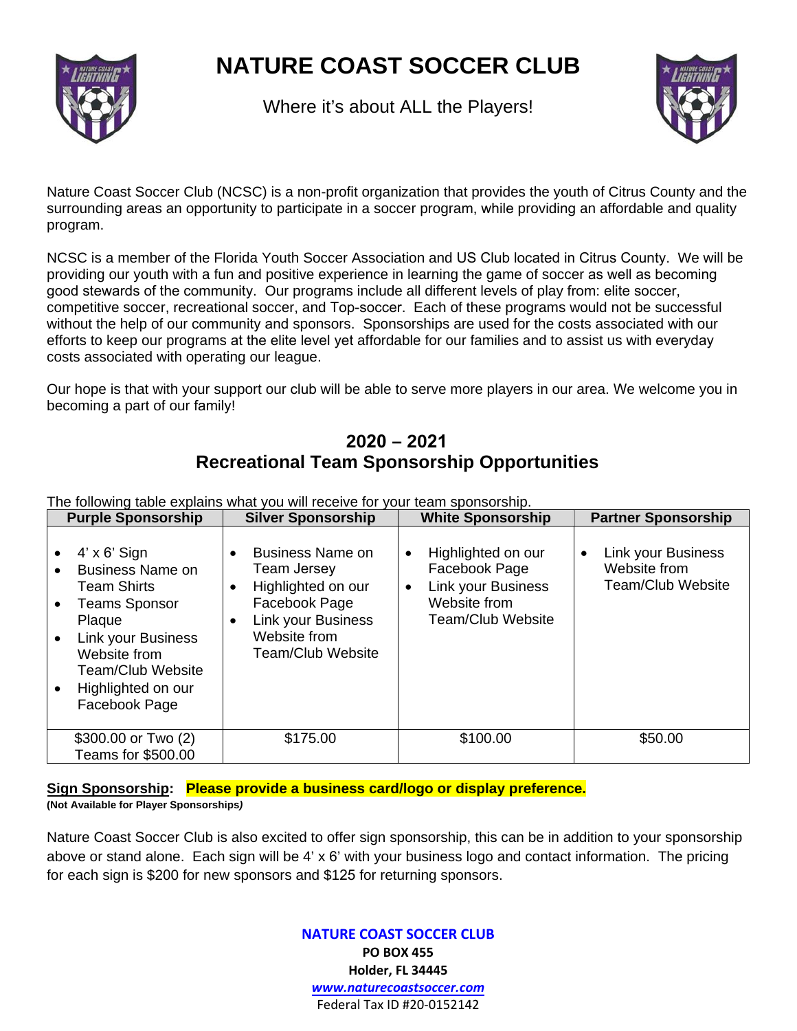

## **NATURE COAST SOCCER CLUB**

Where it's about ALL the Players!



Nature Coast Soccer Club (NCSC) is a non-profit organization that provides the youth of Citrus County and the surrounding areas an opportunity to participate in a soccer program, while providing an affordable and quality program.

NCSC is a member of the Florida Youth Soccer Association and US Club located in Citrus County. We will be providing our youth with a fun and positive experience in learning the game of soccer as well as becoming good stewards of the community. Our programs include all different levels of play from: elite soccer, competitive soccer, recreational soccer, and Top-soccer. Each of these programs would not be successful without the help of our community and sponsors. Sponsorships are used for the costs associated with our efforts to keep our programs at the elite level yet affordable for our families and to assist us with everyday costs associated with operating our league.

Our hope is that with your support our club will be able to serve more players in our area. We welcome you in becoming a part of our family!

#### **2020 – 2021 Recreational Team Sponsorship Opportunities**

The following table explains what you will receive for your team sponsorship.

| <b>Purple Sponsorship</b>                                                                                                                                                                                                                 | <b>Silver Sponsorship</b>                                                                                                                                                                     | <b>White Sponsorship</b>                                                                                                        | <b>Partner Sponsorship</b>                                                  |  |
|-------------------------------------------------------------------------------------------------------------------------------------------------------------------------------------------------------------------------------------------|-----------------------------------------------------------------------------------------------------------------------------------------------------------------------------------------------|---------------------------------------------------------------------------------------------------------------------------------|-----------------------------------------------------------------------------|--|
| $4' \times 6'$ Sign<br><b>Business Name on</b><br><b>Team Shirts</b><br><b>Teams Sponsor</b><br>$\bullet$<br>Plaque<br>Link your Business<br>$\bullet$<br>Website from<br><b>Team/Club Website</b><br>Highlighted on our<br>Facebook Page | <b>Business Name on</b><br>$\bullet$<br>Team Jersey<br>Highlighted on our<br>$\bullet$<br>Facebook Page<br><b>Link your Business</b><br>$\bullet$<br>Website from<br><b>Team/Club Website</b> | Highlighted on our<br>$\bullet$<br>Facebook Page<br><b>Link your Business</b><br>$\bullet$<br>Website from<br>Team/Club Website | Link your Business<br>$\bullet$<br>Website from<br><b>Team/Club Website</b> |  |
| \$300.00 or Two (2)<br>Teams for \$500.00                                                                                                                                                                                                 | \$175.00                                                                                                                                                                                      | \$100.00                                                                                                                        | \$50.00                                                                     |  |

**Sign Sponsorship: Please provide a business card/logo or display preference.** 

**(Not Available for Player Sponsorships***)* 

Nature Coast Soccer Club is also excited to offer sign sponsorship, this can be in addition to your sponsorship above or stand alone. Each sign will be 4' x 6' with your business logo and contact information. The pricing for each sign is \$200 for new sponsors and \$125 for returning sponsors.

> **NATURE COAST SOCCER CLUB PO BOX 455 Holder, FL 34445** *www.naturecoastsoccer.com* Federal Tax ID #20‐0152142